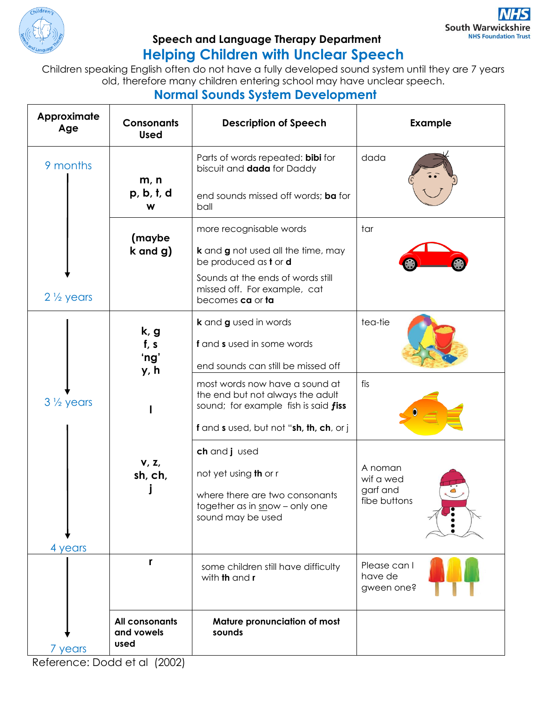

## **Speech and Language Therapy Department Helping Children with Unclear Speech**

Children speaking English often do not have a fully developed sound system until they are 7 years old, therefore many children entering school may have unclear speech.

## **Normal Sounds System Development**

| Approximate<br>Age   | <b>Consonants</b><br><b>Used</b>     | <b>Description of Speech</b>                                                                               | <b>Example</b>                        |
|----------------------|--------------------------------------|------------------------------------------------------------------------------------------------------------|---------------------------------------|
| 9 months             | m, n                                 | Parts of words repeated: bibi for<br>biscuit and <b>dada</b> for Daddy                                     | dada                                  |
|                      | p, b, t, d<br>W                      | end sounds missed off words; ba for<br>ball                                                                |                                       |
|                      | (maybe                               | more recognisable words                                                                                    | tar                                   |
|                      | $k$ and $g$ )                        | <b>k</b> and <b>g</b> not used all the time, may<br>be produced as t or <b>d</b>                           |                                       |
| $2\frac{1}{2}$ years |                                      | Sounds at the ends of words still<br>missed off. For example, cat<br>becomes ca or ta                      |                                       |
|                      | k, g                                 | k and g used in words                                                                                      | tea-tie                               |
|                      | f, s                                 | f and s used in some words                                                                                 |                                       |
|                      | 'ng'<br>y, h                         | end sounds can still be missed off                                                                         |                                       |
| $3\frac{1}{2}$ years |                                      | most words now have a sound at<br>the end but not always the adult<br>sound; for example fish is said fiss | fis                                   |
|                      |                                      | f and s used, but not "sh, th, ch, or j                                                                    |                                       |
|                      |                                      | ch and jused                                                                                               |                                       |
|                      | V, Z,<br>sh, ch,                     | not yet using <b>th</b> or r                                                                               | A noman<br>wif a wed                  |
|                      |                                      | where there are two consonants<br>together as in snow - only one<br>sound may be used                      | garf and<br>fibe buttons              |
| 4 years              |                                      |                                                                                                            |                                       |
|                      | r                                    | some children still have difficulty<br>with <b>th</b> and <b>r</b>                                         | Please can I<br>have de<br>gween one? |
| 7 years              | All consonants<br>and vowels<br>used | Mature pronunciation of most<br>sounds                                                                     |                                       |

Reference: Dodd et al (2002)